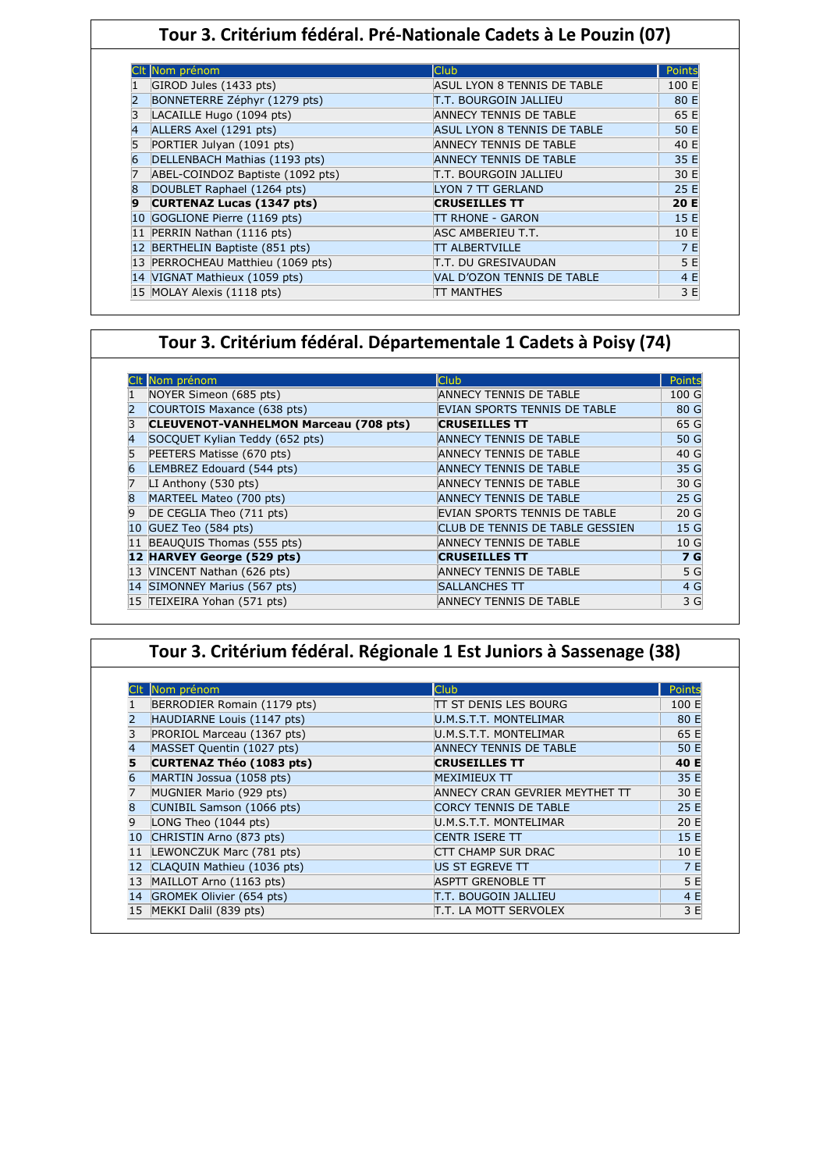## **Tour 3. Critérium fédéral. Pré-Nationale Cadets à Le Pouzin (07)**

|    | Nom prénom                       | <b>Club</b>                   | Points |
|----|----------------------------------|-------------------------------|--------|
|    | GIROD Jules (1433 pts)           | ASUL LYON 8 TENNIS DE TABLE   | 100 E  |
|    | BONNETERRE Zéphyr (1279 pts)     | IT.T. BOURGOIN JALLIEU        | 80 E   |
| 3  | LACAILLE Hugo (1094 pts)         | ANNECY TENNIS DE TABLE        | 65 E   |
| 4  | ALLERS Axel (1291 pts)           | ASUL LYON 8 TENNIS DE TABLE   | 50 E   |
|    | PORTIER Julyan (1091 pts)        | <b>ANNECY TENNIS DE TABLE</b> | 40 E   |
| 6  | DELLENBACH Mathias (1193 pts)    | <b>ANNECY TENNIS DE TABLE</b> | 35 E   |
|    | ABEL-COINDOZ Baptiste (1092 pts) | T.T. BOURGOIN JALLIEU         | 30 E   |
| 8  | DOUBLET Raphael (1264 pts)       | <b>LYON 7 TT GERLAND</b>      | 25 E   |
| 9  | <b>CURTENAZ Lucas (1347 pts)</b> | <b>CRUSEILLES TT</b>          | 20 E   |
| 10 | GOGLIONE Pierre (1169 pts)       | <b>TT RHONE - GARON</b>       | 15 E   |
| 11 | PERRIN Nathan (1116 pts)         | ASC AMBERIEU T.T.             | 10 E   |
|    | BERTHELIN Baptiste (851 pts)     | <b>TT ALBERTVILLE</b>         | 7 E    |
|    | PERROCHEAU Matthieu (1069 pts)   | T.T. DU GRESIVAUDAN           | 5 E    |
|    | 14 VIGNAT Mathieux (1059 pts)    | VAL D'OZON TENNIS DE TABLE    | 4 E    |
|    | 15 MOLAY Alexis (1118 pts)       | TT MANTHES                    | 3 E    |

# **Tour 3. Critérium fédéral. Départementale 1 Cadets à Poisy (74)**

|   | CIt Nom prénom                               | Club                            | Points          |
|---|----------------------------------------------|---------------------------------|-----------------|
|   | NOYER Simeon (685 pts)                       | <b>ANNECY TENNIS DE TABLE</b>   | 100 G           |
|   | COURTOIS Maxance (638 pts)                   | EVIAN SPORTS TENNIS DE TABLE    | 80 G            |
|   | <b>CLEUVENOT-VANHELMON Marceau (708 pts)</b> | <b>CRUSEILLES TT</b>            | 65 G            |
|   | SOCQUET Kylian Teddy (652 pts)               | <b>ANNECY TENNIS DE TABLE</b>   | 50 G            |
|   | PEETERS Matisse (670 pts)                    | <b>ANNECY TENNIS DE TABLE</b>   | 40 G            |
|   | LEMBREZ Edouard (544 pts)                    | <b>ANNECY TENNIS DE TABLE</b>   | 35 G            |
|   | LI Anthony $(530 \text{ pts})$               | <b>ANNECY TENNIS DE TABLE</b>   | 30 G            |
| 8 | MARTEEL Mateo (700 pts)                      | <b>ANNECY TENNIS DE TABLE</b>   | 25 G            |
| 9 | DE CEGLIA Theo (711 pts)                     | EVIAN SPORTS TENNIS DE TABLE    | 20 <sub>G</sub> |
|   | 10 GUEZ Teo (584 pts)                        | CLUB DE TENNIS DE TABLE GESSIEN | 15 G            |
|   | 11 BEAUQUIS Thomas (555 pts)                 | <b>ANNECY TENNIS DE TABLE</b>   | 10 G            |
|   | 12 HARVEY George (529 pts)                   | <b>CRUSEILLES TT</b>            | 7 G             |
|   | 13 VINCENT Nathan (626 pts)                  | <b>ANNECY TENNIS DE TABLE</b>   | 5 G             |
|   | 14 SIMONNEY Marius (567 pts)                 | <b>SALLANCHES TT</b>            | 4 G             |
|   | 15 TEIXEIRA Yohan (571 pts)                  | ANNECY TENNIS DE TABLE          | 3 G             |

|    | Nom prénom                  | Club                           | Points |
|----|-----------------------------|--------------------------------|--------|
|    | BERRODIER Romain (1179 pts) | ITT ST DENIS LES BOURG         | 100 E  |
|    | HAUDIARNE Louis (1147 pts)  | U.M.S.T.T. MONTELIMAR          | 80 E   |
| 3  | PRORIOL Marceau (1367 pts)  | U.M.S.T.T. MONTELIMAR          | 65 E   |
| 4  | MASSET Quentin (1027 pts)   | <b>ANNECY TENNIS DE TABLE</b>  | 50 E   |
| 5  | CURTENAZ Théo (1083 pts)    | <b>CRUSEILLES TT</b>           | 40 E   |
| 6  | MARTIN Jossua (1058 pts)    | <b>MEXIMIEUX TT</b>            | 35 E   |
| 7  | MUGNIER Mario (929 pts)     | ANNECY CRAN GEVRIER MEYTHET TT | 30 E   |
| 8  | CUNIBIL Samson (1066 pts)   | <b>CORCY TENNIS DE TABLE</b>   | 25 E   |
| 9  | LONG Theo (1044 pts)        | U.M.S.T.T. MONTELIMAR          | 20 E   |
| 10 | CHRISTIN Arno (873 pts)     | CENTR ISERE TT                 | 15 E   |
| 11 | LEWONCZUK Marc (781 pts)    | CTT CHAMP SUR DRAC             | 10 E   |
| 12 | CLAQUIN Mathieu (1036 pts)  | US ST EGREVE TT                | 7E     |
| 13 | MAILLOT Arno (1163 pts)     | <b>ASPTT GRENOBLE TT</b>       | 5 E    |
| 14 | GROMEK Olivier (654 pts)    | <b>T.T. BOUGOIN JALLIEU</b>    | 4 E    |
| 15 | MEKKI Dalil (839 pts)       | T.T. LA MOTT SERVOLEX          | 3 E    |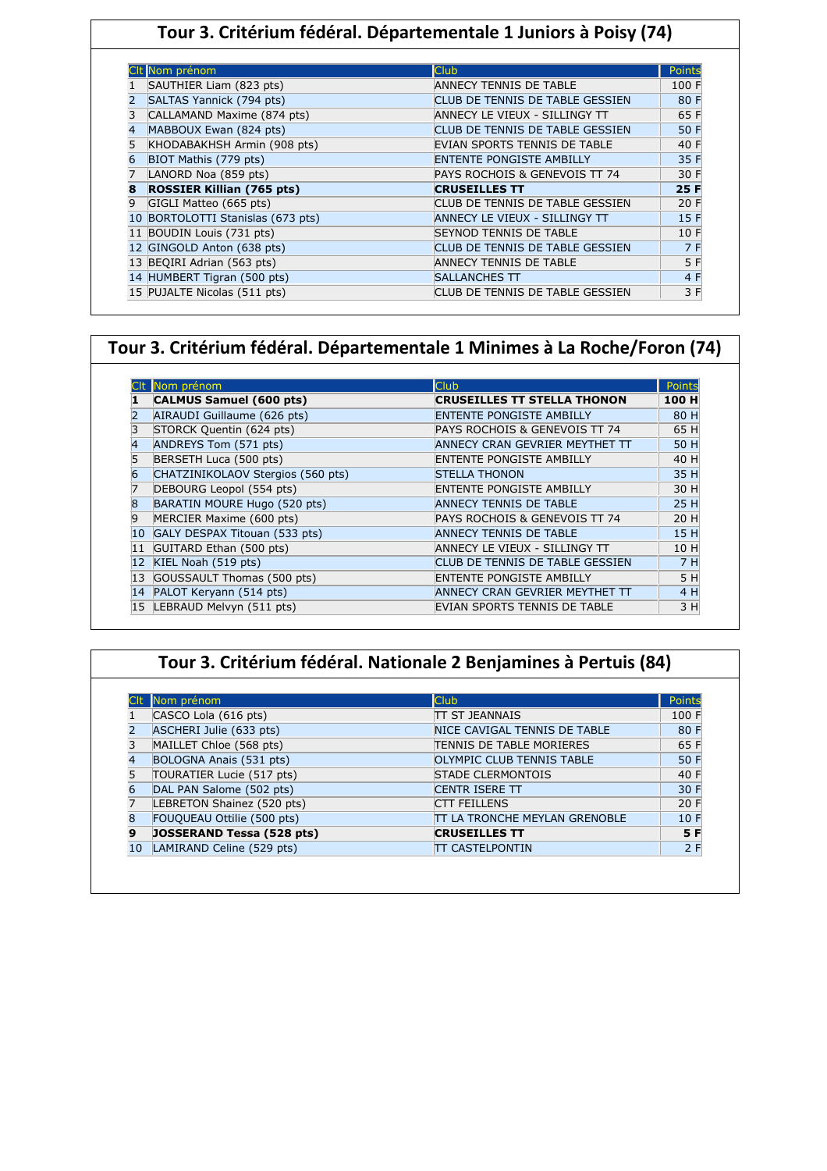## **Tour 3. Critérium fédéral. Départementale 1 Juniors à Poisy (74)**

|    | Nom prénom                       | Club                            | Points |
|----|----------------------------------|---------------------------------|--------|
|    | SAUTHIER Liam (823 pts)          | ANNECY TENNIS DE TABLE          | 100 F  |
|    | SALTAS Yannick (794 pts)         | CLUB DE TENNIS DE TABLE GESSIEN | 80 F   |
|    | CALLAMAND Maxime (874 pts)       | ANNECY LE VIEUX - SILLINGY TT   | 65 F   |
| 4  | MABBOUX Ewan (824 pts)           | CLUB DE TENNIS DE TABLE GESSIEN | 50 F   |
|    | KHODABAKHSH Armin (908 pts)      | EVIAN SPORTS TENNIS DE TABLE    | 40 F   |
|    | BIOT Mathis (779 pts)            | <b>ENTENTE PONGISTE AMBILLY</b> | 35 F   |
|    | LANORD Noa (859 pts)             | PAYS ROCHOIS & GENEVOIS TT 74   | 30 F   |
| 8  | <b>ROSSIER Killian (765 pts)</b> | <b>CRUSEILLES TT</b>            | 25 F   |
| 9  | GIGLI Matteo (665 pts)           | CLUB DE TENNIS DE TABLE GESSIEN | 20 F   |
| 10 | BORTOLOTTI Stanislas (673 pts)   | ANNECY LE VIEUX - SILLINGY TT   | 15 F   |
| 11 | BOUDIN Louis (731 pts)           | <b>SEYNOD TENNIS DE TABLE</b>   | 10 F   |
| 12 | GINGOLD Anton (638 pts)          | CLUB DE TENNIS DE TABLE GESSIEN | 7 F    |
|    | 13 BEQIRI Adrian (563 pts)       | ANNECY TENNIS DE TABLE          | 5 F    |
|    | 14 HUMBERT Tigran (500 pts)      | SALLANCHES TT                   | 4 F    |
|    | 15 PUJALTE Nicolas (511 pts)     | CLUB DE TENNIS DE TABLE GESSIEN | 3 F    |

#### **Tour 3. Critérium fédéral. Départementale 1 Minimes à La Roche/Foron (74)**

|    | Nom prénom                        | <b>Club</b>                        | Points |
|----|-----------------------------------|------------------------------------|--------|
|    | CALMUS Samuel (600 pts)           | <b>CRUSEILLES TT STELLA THONON</b> | 100 H  |
|    | AIRAUDI Guillaume (626 pts)       | <b>ENTENTE PONGISTE AMBILLY</b>    | 80 H   |
|    | STORCK Quentin (624 pts)          | PAYS ROCHOIS & GENEVOIS TT 74      | 65 H   |
| 4  | ANDREYS Tom (571 pts)             | ANNECY CRAN GEVRIER MEYTHET TT     | 50 H   |
| 5  | BERSETH Luca (500 pts)            | <b>ENTENTE PONGISTE AMBILLY</b>    | 40 H   |
| 6  | CHATZINIKOLAOV Stergios (560 pts) | <b>STELLA THONON</b>               | 35 H   |
|    | DEBOURG Leopol (554 pts)          | <b>ENTENTE PONGISTE AMBILLY</b>    | 30 H   |
| 8  | BARATIN MOURE Hugo (520 pts)      | <b>ANNECY TENNIS DE TABLE</b>      | 25 H   |
| 9  | MERCIER Maxime (600 pts)          | PAYS ROCHOIS & GENEVOIS TT 74      | 20 H   |
| 10 | GALY DESPAX Titouan (533 pts)     | <b>ANNECY TENNIS DE TABLE</b>      | 15 H   |
| 11 | GUITARD Ethan (500 pts)           | ANNECY LE VIEUX - SILLINGY TT      | 10 H   |
| 12 | KIEL Noah (519 pts)               | CLUB DE TENNIS DE TABLE GESSIEN    | 7H     |
| 13 | GOUSSAULT Thomas (500 pts)        | <b>ENTENTE PONGISTE AMBILLY</b>    | 5 H    |
| 14 | PALOT Keryann (514 pts)           | ANNECY CRAN GEVRIER MEYTHET TT     | 4 H    |
| 15 | LEBRAUD Melvyn (511 pts)          | EVIAN SPORTS TENNIS DE TABLE       | 3 H    |

| Tour 3. Critérium fédéral. Nationale 2 Benjamines à Pertuis (84) |
|------------------------------------------------------------------|
|------------------------------------------------------------------|

|             | Nom prénom                 | <b>Club</b>                          | Points |
|-------------|----------------------------|--------------------------------------|--------|
|             | CASCO Lola (616 pts)       | <b>ITT ST JEANNAIS</b>               | 100 F  |
|             | ASCHERI Julie (633 pts)    | NICE CAVIGAL TENNIS DE TABLE         | 80 F   |
|             | MAILLET Chloe (568 pts)    | <b>TENNIS DE TABLE MORIERES</b>      | 65 F   |
|             | BOLOGNA Anais (531 pts)    | OLYMPIC CLUB TENNIS TABLE            | 50 F   |
|             | TOURATIER Lucie (517 pts)  | <b>STADE CLERMONTOIS</b>             | 40 F   |
|             | DAL PAN Salome (502 pts)   | <b>CENTR ISERE TT</b>                | 30 F   |
|             | LEBRETON Shainez (520 pts) | <b>CTT FEILLENS</b>                  | 20 F   |
| $\mathsf R$ | FOUQUEAU Ottilie (500 pts) | <b>TT LA TRONCHE MEYLAN GRENOBLE</b> | 10 F   |
| 19          | JOSSERAND Tessa (528 pts)  | <b>CRUSEILLES TT</b>                 | 5 F    |
| 10          | LAMIRAND Celine (529 pts)  | <b>ITT CASTELPONTIN</b>              | 2F     |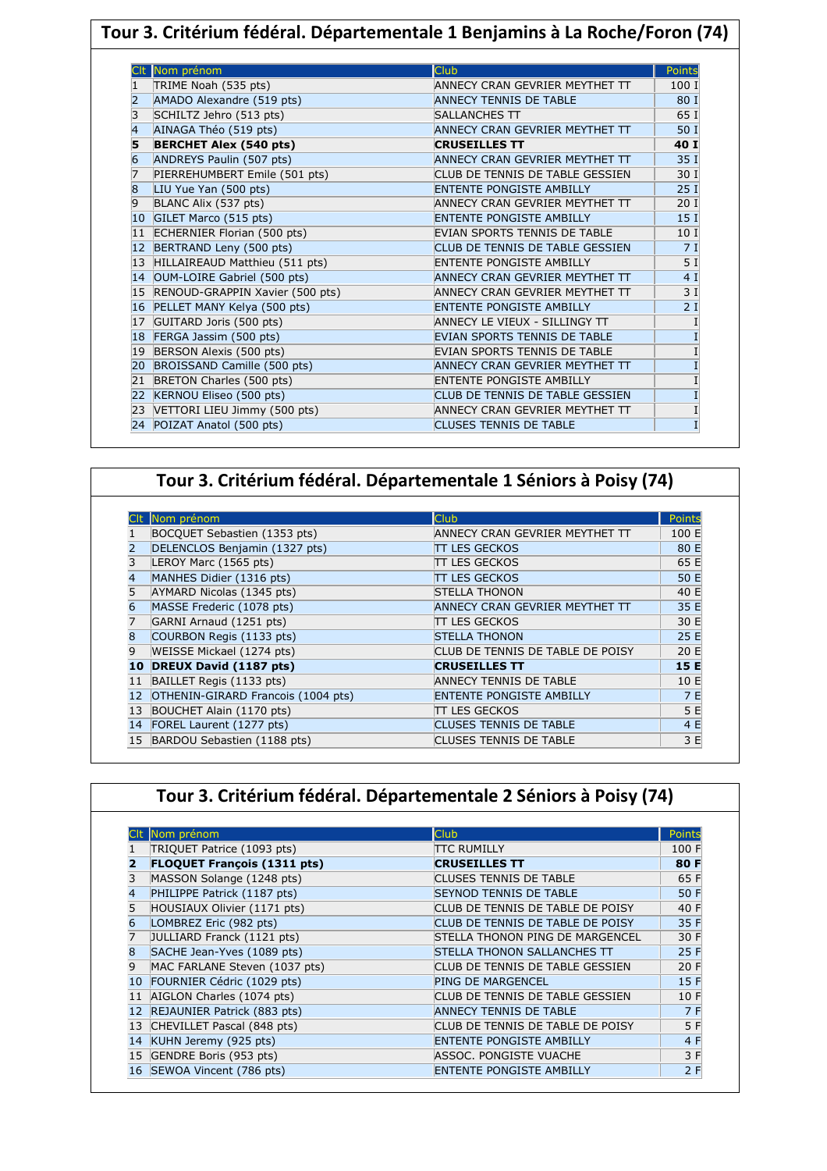| Tour 3. Critérium fédéral. Départementale 1 Benjamins à La Roche/Foron (74) |                                   |                                     |                 |  |
|-----------------------------------------------------------------------------|-----------------------------------|-------------------------------------|-----------------|--|
|                                                                             |                                   |                                     |                 |  |
|                                                                             | Nom prénom                        | Club                                | <b>Points</b>   |  |
|                                                                             | TRIME Noah (535 pts)              | ANNECY CRAN GEVRIER MEYTHET TT      | 100 I           |  |
|                                                                             | AMADO Alexandre (519 pts)         | <b>ANNECY TENNIS DE TABLE</b>       | 80 I            |  |
| 3                                                                           | SCHILTZ Jehro (513 pts)           | <b>SALLANCHES TT</b>                | 65 I            |  |
| $\overline{4}$                                                              | AINAGA Théo (519 pts)             | ANNECY CRAN GEVRIER MEYTHET TT      | 50 I            |  |
| 5                                                                           | <b>BERCHET Alex (540 pts)</b>     | <b>CRUSEILLES TT</b>                | 40 I            |  |
| 6                                                                           | ANDREYS Paulin (507 pts)          | ANNECY CRAN GEVRIER MEYTHET TT      | 35 I            |  |
|                                                                             | PIERREHUMBERT Emile (501 pts)     | CLUB DE TENNIS DE TABLE GESSIEN     | 30 I            |  |
| $\overline{8}$                                                              | LIU Yue Yan (500 pts)             | <b>ENTENTE PONGISTE AMBILLY</b>     | 25 <sub>1</sub> |  |
| 9                                                                           | BLANC Alix (537 pts)              | ANNECY CRAN GEVRIER MEYTHET TT      | 20 <sub>1</sub> |  |
| 10 <sup>°</sup>                                                             | GILET Marco (515 pts)             | <b>ENTENTE PONGISTE AMBILLY</b>     | 15 <sub>1</sub> |  |
| 11                                                                          | ECHERNIER Florian (500 pts)       | EVIAN SPORTS TENNIS DE TABLE        | 10 I            |  |
|                                                                             | 12 BERTRAND Leny (500 pts)        | CLUB DE TENNIS DE TABLE GESSIEN     | 7I              |  |
|                                                                             | 13 HILLAIREAUD Matthieu (511 pts) | <b>ENTENTE PONGISTE AMBILLY</b>     | 5 I             |  |
| 14                                                                          | OUM-LOIRE Gabriel (500 pts)       | ANNECY CRAN GEVRIER MEYTHET TT      | 4 I             |  |
| 15                                                                          | RENOUD-GRAPPIN Xavier (500 pts)   | ANNECY CRAN GEVRIER MEYTHET TT      | 3I              |  |
|                                                                             | 16 PELLET MANY Kelya (500 pts)    | <b>ENTENTE PONGISTE AMBILLY</b>     | 2I              |  |
| 17                                                                          | GUITARD Joris (500 pts)           | ANNECY LE VIEUX - SILLINGY TT       |                 |  |
| 18                                                                          | FERGA Jassim (500 pts)            | <b>EVIAN SPORTS TENNIS DE TABLE</b> |                 |  |
| 19                                                                          | BERSON Alexis (500 pts)           | EVIAN SPORTS TENNIS DE TABLE        |                 |  |
| 20                                                                          | BROISSAND Camille (500 pts)       | ANNECY CRAN GEVRIER MEYTHET TT      |                 |  |
| 21                                                                          | BRETON Charles (500 pts)          | <b>ENTENTE PONGISTE AMBILLY</b>     |                 |  |
| 22                                                                          | KERNOU Eliseo (500 pts)           | CLUB DE TENNIS DE TABLE GESSIEN     |                 |  |
| 23                                                                          | VETTORI LIEU Jimmy (500 pts)      | ANNECY CRAN GEVRIER MEYTHET TT      |                 |  |
|                                                                             | 24 POIZAT Anatol (500 pts)        | <b>CLUSES TENNIS DE TABLE</b>       |                 |  |

|  |  |  | Tour 3. Critérium fédéral. Départementale 1 Séniors à Poisy (74) |  |  |  |
|--|--|--|------------------------------------------------------------------|--|--|--|
|--|--|--|------------------------------------------------------------------|--|--|--|

|                 | Nom prénom                         | Club <sup></sup>                 | Points |
|-----------------|------------------------------------|----------------------------------|--------|
|                 | BOCQUET Sebastien (1353 pts)       | ANNECY CRAN GEVRIER MEYTHET TT   | 100 E  |
|                 | DELENCLOS Benjamin (1327 pts)      | TT LES GECKOS                    | 80 E   |
|                 | LEROY Marc (1565 pts)              | TT LES GECKOS                    | 65 E   |
| $\vert 4 \vert$ | MANHES Didier (1316 pts)           | TT LES GECKOS                    | 50 E   |
| 5               | AYMARD Nicolas (1345 pts)          | <b>STELLA THONON</b>             | 40 E   |
| 6               | MASSE Frederic (1078 pts)          | ANNECY CRAN GEVRIER MEYTHET TT   | 35 E   |
|                 | GARNI Arnaud (1251 pts)            | ITT LES GECKOS                   | 30 E   |
| 8               | COURBON Regis (1133 pts)           | <b>STELLA THONON</b>             | 25 E   |
| 9               | WEISSE Mickael (1274 pts)          | CLUB DE TENNIS DE TABLE DE POISY | 20 E   |
| 10              | <b>DREUX David (1187 pts)</b>      | <b>CRUSEILLES TT</b>             | 15 E   |
| 11              | BAILLET Regis (1133 pts)           | <b>ANNECY TENNIS DE TABLE</b>    | 10 E   |
| 12              | OTHENIN-GIRARD Francois (1004 pts) | <b>ENTENTE PONGISTE AMBILLY</b>  | 7 E    |
| 13              | BOUCHET Alain (1170 pts)           | TT LES GECKOS                    | 5 E    |
| 14              | FOREL Laurent (1277 pts)           | <b>CLUSES TENNIS DE TABLE</b>    | 4 E    |
| 15              | BARDOU Sebastien (1188 pts)        | <b>CLUSES TENNIS DE TABLE</b>    | 3 E    |

|    | Nom prénom                         | <b>Club</b>                        | Points |
|----|------------------------------------|------------------------------------|--------|
|    | TRIQUET Patrice (1093 pts)         | <b>TTC RUMILLY</b>                 | 100 F  |
| 2  | <b>FLOQUET François (1311 pts)</b> | <b>CRUSEILLES TT</b>               | 80 F   |
| 3  | MASSON Solange (1248 pts)          | <b>CLUSES TENNIS DE TABLE</b>      | 65 F   |
| 4  | PHILIPPE Patrick (1187 pts)        | <b>SEYNOD TENNIS DE TABLE</b>      | 50 F   |
| 5  | HOUSIAUX Olivier (1171 pts)        | CLUB DE TENNIS DE TABLE DE POISY   | 40 F   |
| 6  | LOMBREZ Eric (982 pts)             | CLUB DE TENNIS DE TABLE DE POISY   | 35 F   |
| 7  | JULLIARD Franck (1121 pts)         | STELLA THONON PING DE MARGENCEL    | 30 F   |
| 8  | SACHE Jean-Yves (1089 pts)         | <b>STELLA THONON SALLANCHES TT</b> | 25 F   |
| 9  | MAC FARLANE Steven (1037 pts)      | CLUB DE TENNIS DE TABLE GESSIEN    | 20 F   |
| 10 | FOURNIER Cédric (1029 pts)         | <b>PING DE MARGENCEL</b>           | 15 F   |
| 11 | AIGLON Charles (1074 pts)          | CLUB DE TENNIS DE TABLE GESSIEN    | 10 F   |
| 12 | REJAUNIER Patrick (883 pts)        | <b>ANNECY TENNIS DE TABLE</b>      | 7 F    |
| 13 | CHEVILLET Pascal (848 pts)         | CLUB DE TENNIS DE TABLE DE POISY   | 5 F    |
| 14 | KUHN Jeremy (925 pts)              | <b>ENTENTE PONGISTE AMBILLY</b>    | 4 F    |
| 15 | GENDRE Boris (953 pts)             | ASSOC. PONGISTE VUACHE             | 3 F    |
| 16 | SEWOA Vincent (786 pts)            | <b>ENTENTE PONGISTE AMBILLY</b>    | 2 F    |